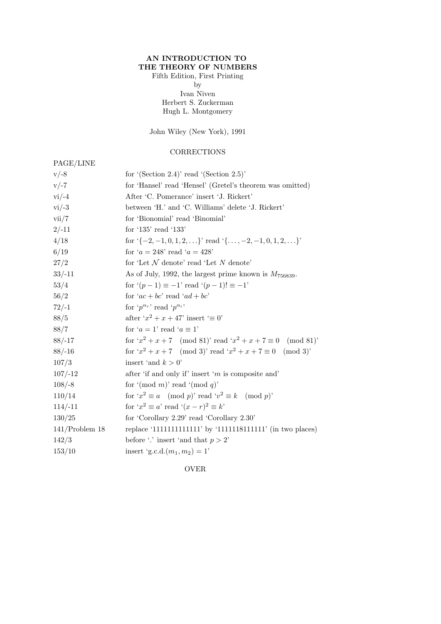## AN INTRODUCTION TO THE THEORY OF NUMBERS

## Fifth Edition, First Printing by Ivan Niven Herbert S. Zuckerman Hugh L. Montgomery

John Wiley (New York), 1991

## **CORRECTIONS**

## PAGE/LINE

| $v/-8$            | for $(Section 2.4)$ read $(Section 2.5)$                                     |
|-------------------|------------------------------------------------------------------------------|
| $v/-7$            | for 'Hansel' read 'Hensel' (Gretel's theorem was omitted)                    |
| $vi/-4$           | After 'C. Pomerance' insert 'J. Rickert'                                     |
| $vi/-3$           | between 'H.' and 'C. Williams' delete 'J. Rickert'                           |
| vii/7             | for 'Bionomial' read 'Binomial'                                              |
| $2/-11$           | for '135' read '133'                                                         |
| 4/18              | for $\{-2, -1, 0, 1, 2, \ldots\}$ read $\{\ldots, -2, -1, 0, 1, 2, \ldots\}$ |
| 6/19              | for ' $a = 248$ ' read ' $a = 428$ '                                         |
| 27/2              | for 'Let $N$ denote' read 'Let $N$ denote'                                   |
| $33/-11$          | As of July, 1992, the largest prime known is $M_{756839}$ .                  |
| 53/4              | for $(p-1) \equiv -1$ ' read $(p-1)! \equiv -1$ '                            |
| 56/2              | for ' $ac + bc$ ' read ' $ad + bc$ '                                         |
| $72/-1$           | for ' $p^{\alpha_r}$ ' read ' $p^{\alpha_i}$ '                               |
| 88/5              | after ' $x^2 + x + 47$ ' insert ' $\equiv 0$ '                               |
| 88/7              | for ' $a = 1$ ' read ' $a \equiv 1$ '                                        |
| $88/-17$          | for $x^2 + x + 7 \pmod{81}$ read $x^2 + x + 7 \equiv 0 \pmod{81}$            |
| $88/-16$          | for $x^2 + x + 7 \pmod{3}$ read $x^2 + x + 7 \equiv 0 \pmod{3}$              |
| 107/3             | insert 'and $k > 0$ '                                                        |
| $107/-12$         | after 'if and only if' insert 'm is composite and'                           |
| $108/-8$          | for '(mod m)' read '(mod q)'                                                 |
| 110/14            | for $x^2 \equiv a \pmod{p}$ read $v^2 \equiv k \pmod{p}$                     |
| $114/-11$         | for $x^2 \equiv a$ read $(x - r)^2 \equiv k$                                 |
| 130/25            | for 'Corollary 2.29' read 'Corollary 2.30'                                   |
| $141$ /Problem 18 | replace '111111111111111111' by '111111181111111' (in two places)            |
| 142/3             | before '.' insert 'and that $p > 2$ '                                        |
| 153/10            | insert 'g.c.d. $(m_1, m_2) = 1$ '                                            |
|                   |                                                                              |

OVER